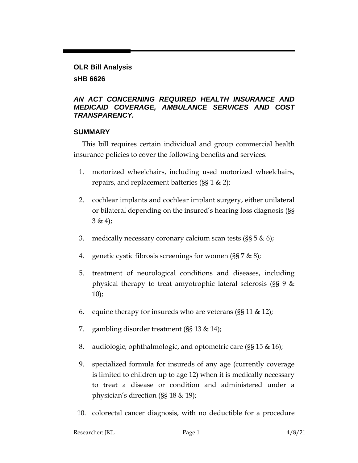# **OLR Bill Analysis sHB 6626**

#### *AN ACT CONCERNING REQUIRED HEALTH INSURANCE AND MEDICAID COVERAGE, AMBULANCE SERVICES AND COST TRANSPARENCY.*

#### **SUMMARY**

This bill requires certain individual and group commercial health insurance policies to cover the following benefits and services:

- 1. motorized wheelchairs, including used motorized wheelchairs, repairs, and replacement batteries (§§ 1 & 2);
- 2. cochlear implants and cochlear implant surgery, either unilateral or bilateral depending on the insured's hearing loss diagnosis (§§  $3 & 4);$
- 3. medically necessary coronary calcium scan tests (§§ 5 & 6);
- 4. genetic cystic fibrosis screenings for women (§§ 7 & 8);
- 5. treatment of neurological conditions and diseases, including physical therapy to treat amyotrophic lateral sclerosis (§§ 9 &  $10$ ;
- 6. equine therapy for insureds who are veterans  $(\frac{8}{5}11 \& 12)$ ;
- 7. gambling disorder treatment (§§ 13 & 14);
- 8. audiologic, ophthalmologic, and optometric care (§§ 15 & 16);
- 9. specialized formula for insureds of any age (currently coverage is limited to children up to age 12) when it is medically necessary to treat a disease or condition and administered under a physician's direction (§§ 18 & 19);
- 10. colorectal cancer diagnosis, with no deductible for a procedure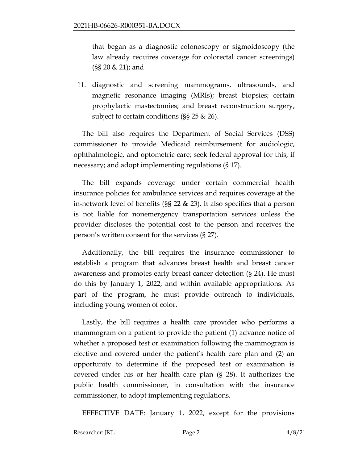that began as a diagnostic colonoscopy or sigmoidoscopy (the law already requires coverage for colorectal cancer screenings) (§§ 20 & 21); and

11. diagnostic and screening mammograms, ultrasounds, and magnetic resonance imaging (MRIs); breast biopsies; certain prophylactic mastectomies; and breast reconstruction surgery, subject to certain conditions (§§ 25 & 26).

The bill also requires the Department of Social Services (DSS) commissioner to provide Medicaid reimbursement for audiologic, ophthalmologic, and optometric care; seek federal approval for this, if necessary; and adopt implementing regulations (§ 17).

The bill expands coverage under certain commercial health insurance policies for ambulance services and requires coverage at the in-network level of benefits (§§ 22 & 23). It also specifies that a person is not liable for nonemergency transportation services unless the provider discloses the potential cost to the person and receives the person's written consent for the services (§ 27).

Additionally, the bill requires the insurance commissioner to establish a program that advances breast health and breast cancer awareness and promotes early breast cancer detection (§ 24). He must do this by January 1, 2022, and within available appropriations. As part of the program, he must provide outreach to individuals, including young women of color.

Lastly, the bill requires a health care provider who performs a mammogram on a patient to provide the patient (1) advance notice of whether a proposed test or examination following the mammogram is elective and covered under the patient's health care plan and (2) an opportunity to determine if the proposed test or examination is covered under his or her health care plan (§ 28). It authorizes the public health commissioner, in consultation with the insurance commissioner, to adopt implementing regulations.

EFFECTIVE DATE: January 1, 2022, except for the provisions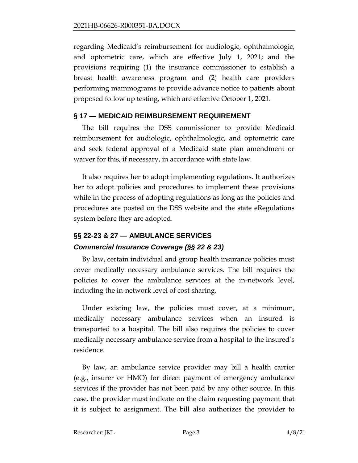regarding Medicaid's reimbursement for audiologic, ophthalmologic, and optometric care, which are effective July 1, 2021; and the provisions requiring (1) the insurance commissioner to establish a breast health awareness program and (2) health care providers performing mammograms to provide advance notice to patients about proposed follow up testing, which are effective October 1, 2021.

### **§ 17 — MEDICAID REIMBURSEMENT REQUIREMENT**

The bill requires the DSS commissioner to provide Medicaid reimbursement for audiologic, ophthalmologic, and optometric care and seek federal approval of a Medicaid state plan amendment or waiver for this, if necessary, in accordance with state law.

It also requires her to adopt implementing regulations. It authorizes her to adopt policies and procedures to implement these provisions while in the process of adopting regulations as long as the policies and procedures are posted on the DSS website and the state eRegulations system before they are adopted.

# **§§ 22-23 & 27 — AMBULANCE SERVICES** *Commercial Insurance Coverage (§§ 22 & 23)*

By law, certain individual and group health insurance policies must cover medically necessary ambulance services. The bill requires the policies to cover the ambulance services at the in-network level, including the in-network level of cost sharing.

Under existing law, the policies must cover, at a minimum, medically necessary ambulance services when an insured is transported to a hospital. The bill also requires the policies to cover medically necessary ambulance service from a hospital to the insured's residence.

By law, an ambulance service provider may bill a health carrier (e.g., insurer or HMO) for direct payment of emergency ambulance services if the provider has not been paid by any other source. In this case, the provider must indicate on the claim requesting payment that it is subject to assignment. The bill also authorizes the provider to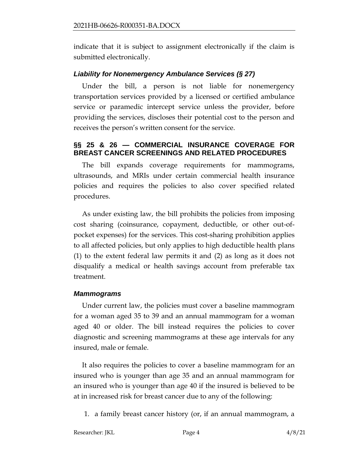indicate that it is subject to assignment electronically if the claim is submitted electronically.

#### *Liability for Nonemergency Ambulance Services (§ 27)*

Under the bill, a person is not liable for nonemergency transportation services provided by a licensed or certified ambulance service or paramedic intercept service unless the provider, before providing the services, discloses their potential cost to the person and receives the person's written consent for the service.

### **§§ 25 & 26 — COMMERCIAL INSURANCE COVERAGE FOR BREAST CANCER SCREENINGS AND RELATED PROCEDURES**

The bill expands coverage requirements for mammograms, ultrasounds, and MRIs under certain commercial health insurance policies and requires the policies to also cover specified related procedures.

As under existing law, the bill prohibits the policies from imposing cost sharing (coinsurance, copayment, deductible, or other out-ofpocket expenses) for the services. This cost-sharing prohibition applies to all affected policies, but only applies to high deductible health plans (1) to the extent federal law permits it and (2) as long as it does not disqualify a medical or health savings account from preferable tax treatment.

#### *Mammograms*

Under current law, the policies must cover a baseline mammogram for a woman aged 35 to 39 and an annual mammogram for a woman aged 40 or older. The bill instead requires the policies to cover diagnostic and screening mammograms at these age intervals for any insured, male or female.

It also requires the policies to cover a baseline mammogram for an insured who is younger than age 35 and an annual mammogram for an insured who is younger than age 40 if the insured is believed to be at in increased risk for breast cancer due to any of the following:

1. a family breast cancer history (or, if an annual mammogram, a

Researcher: JKL Page 4 4/8/21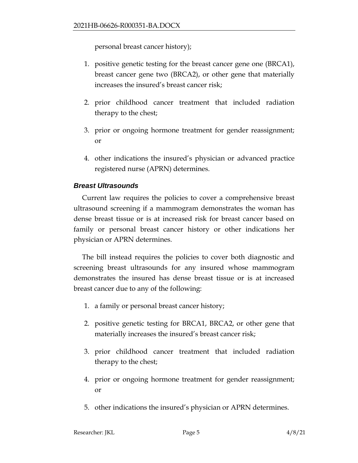personal breast cancer history);

- 1. positive genetic testing for the breast cancer gene one (BRCA1), breast cancer gene two (BRCA2), or other gene that materially increases the insured's breast cancer risk;
- 2. prior childhood cancer treatment that included radiation therapy to the chest;
- 3. prior or ongoing hormone treatment for gender reassignment; or
- 4. other indications the insured's physician or advanced practice registered nurse (APRN) determines.

### *Breast Ultrasounds*

Current law requires the policies to cover a comprehensive breast ultrasound screening if a mammogram demonstrates the woman has dense breast tissue or is at increased risk for breast cancer based on family or personal breast cancer history or other indications her physician or APRN determines.

The bill instead requires the policies to cover both diagnostic and screening breast ultrasounds for any insured whose mammogram demonstrates the insured has dense breast tissue or is at increased breast cancer due to any of the following:

- 1. a family or personal breast cancer history;
- 2. positive genetic testing for BRCA1, BRCA2, or other gene that materially increases the insured's breast cancer risk;
- 3. prior childhood cancer treatment that included radiation therapy to the chest;
- 4. prior or ongoing hormone treatment for gender reassignment; or
- 5. other indications the insured's physician or APRN determines.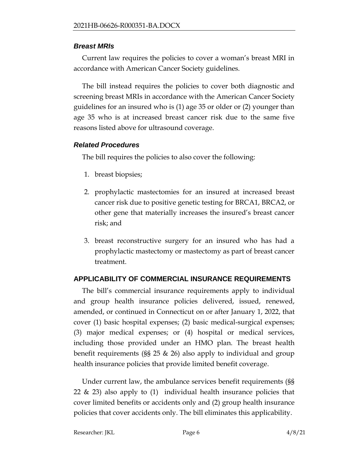### *Breast MRIs*

Current law requires the policies to cover a woman's breast MRI in accordance with American Cancer Society guidelines.

The bill instead requires the policies to cover both diagnostic and screening breast MRIs in accordance with the American Cancer Society guidelines for an insured who is (1) age 35 or older or (2) younger than age 35 who is at increased breast cancer risk due to the same five reasons listed above for ultrasound coverage.

# *Related Procedures*

The bill requires the policies to also cover the following:

- 1. breast biopsies;
- 2. prophylactic mastectomies for an insured at increased breast cancer risk due to positive genetic testing for BRCA1, BRCA2, or other gene that materially increases the insured's breast cancer risk; and
- 3. breast reconstructive surgery for an insured who has had a prophylactic mastectomy or mastectomy as part of breast cancer treatment.

# **APPLICABILITY OF COMMERCIAL INSURANCE REQUIREMENTS**

The bill's commercial insurance requirements apply to individual and group health insurance policies delivered, issued, renewed, amended, or continued in Connecticut on or after January 1, 2022, that cover (1) basic hospital expenses; (2) basic medical-surgical expenses; (3) major medical expenses; or (4) hospital or medical services, including those provided under an HMO plan. The breast health benefit requirements (§§ 25 & 26) also apply to individual and group health insurance policies that provide limited benefit coverage.

Under current law, the ambulance services benefit requirements (§§ 22  $\&$  23) also apply to (1) individual health insurance policies that cover limited benefits or accidents only and (2) group health insurance policies that cover accidents only. The bill eliminates this applicability.